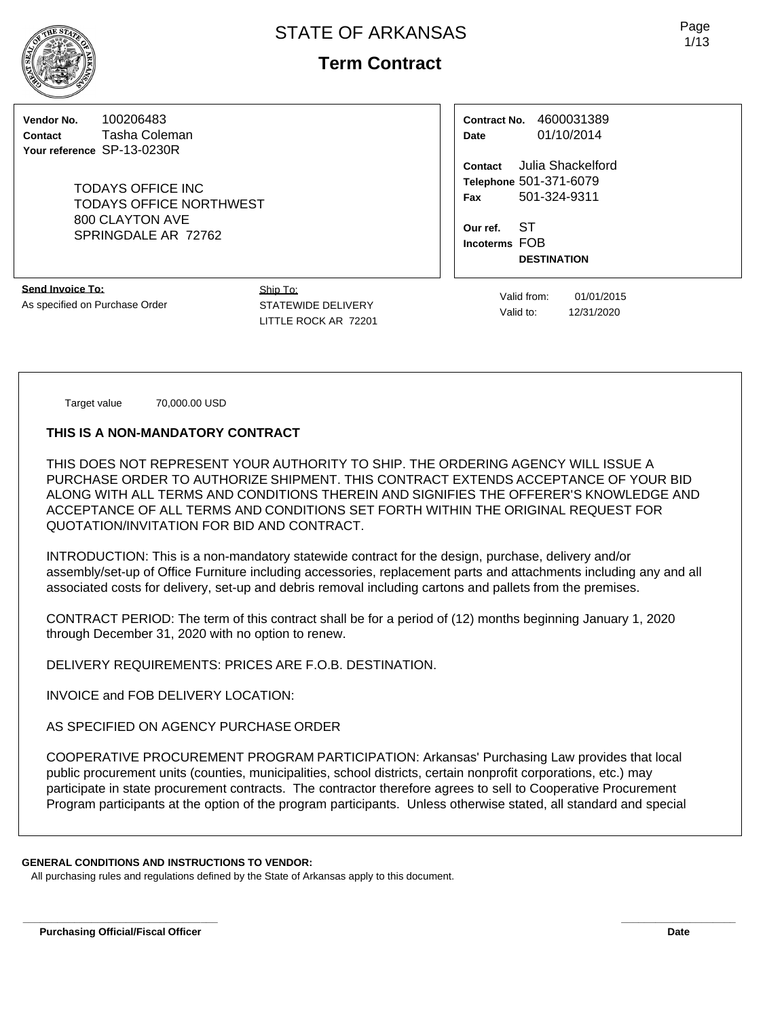# **Term Contract**

**Vendor No.** 100206483 **Contact** Tasha Coleman **Your reference** SP-13-0230R

> TODAYS OFFICE INC TODAYS OFFICE NORTHWEST 800 CLAYTON AVE SPRINGDALE AR 72762

**Contract No.** 4600031389 **Date** 01/10/2014

**Contact** Julia Shackelford **Telephone** 501-371-6079 **Fax** 501-324-9311

**Our ref.** ST **Incoterms** FOB **DESTINATION**

**Send Invoice To:** As specified on Purchase Order Ship To: STATEWIDE DELIVERY LITTLE ROCK AR 72201

Valid from: 01/01/2015 Valid to: 12/31/2020

Target value 70,000.00 USD

#### **THIS IS A NON-MANDATORY CONTRACT**

THIS DOES NOT REPRESENT YOUR AUTHORITY TO SHIP. THE ORDERING AGENCY WILL ISSUE A PURCHASE ORDER TO AUTHORIZE SHIPMENT. THIS CONTRACT EXTENDS ACCEPTANCE OF YOUR BID ALONG WITH ALL TERMS AND CONDITIONS THEREIN AND SIGNIFIES THE OFFERER'S KNOWLEDGE AND ACCEPTANCE OF ALL TERMS AND CONDITIONS SET FORTH WITHIN THE ORIGINAL REQUEST FOR QUOTATION/INVITATION FOR BID AND CONTRACT.

INTRODUCTION: This is a non-mandatory statewide contract for the design, purchase, delivery and/or assembly/set-up of Office Furniture including accessories, replacement parts and attachments including any and all associated costs for delivery, set-up and debris removal including cartons and pallets from the premises.

CONTRACT PERIOD: The term of this contract shall be for a period of (12) months beginning January 1, 2020 through December 31, 2020 with no option to renew.

DELIVERY REQUIREMENTS: PRICES ARE F.O.B. DESTINATION.

INVOICE and FOB DELIVERY LOCATION:

AS SPECIFIED ON AGENCY PURCHASE ORDER

COOPERATIVE PROCUREMENT PROGRAM PARTICIPATION: Arkansas' Purchasing Law provides that local public procurement units (counties, municipalities, school districts, certain nonprofit corporations, etc.) may participate in state procurement contracts. The contractor therefore agrees to sell to Cooperative Procurement Program participants at the option of the program participants. Unless otherwise stated, all standard and special

## **GENERAL CONDITIONS AND INSTRUCTIONS TO VENDOR:**

All purchasing rules and regulations defined by the State of Arkansas apply to this document.

Page 1/13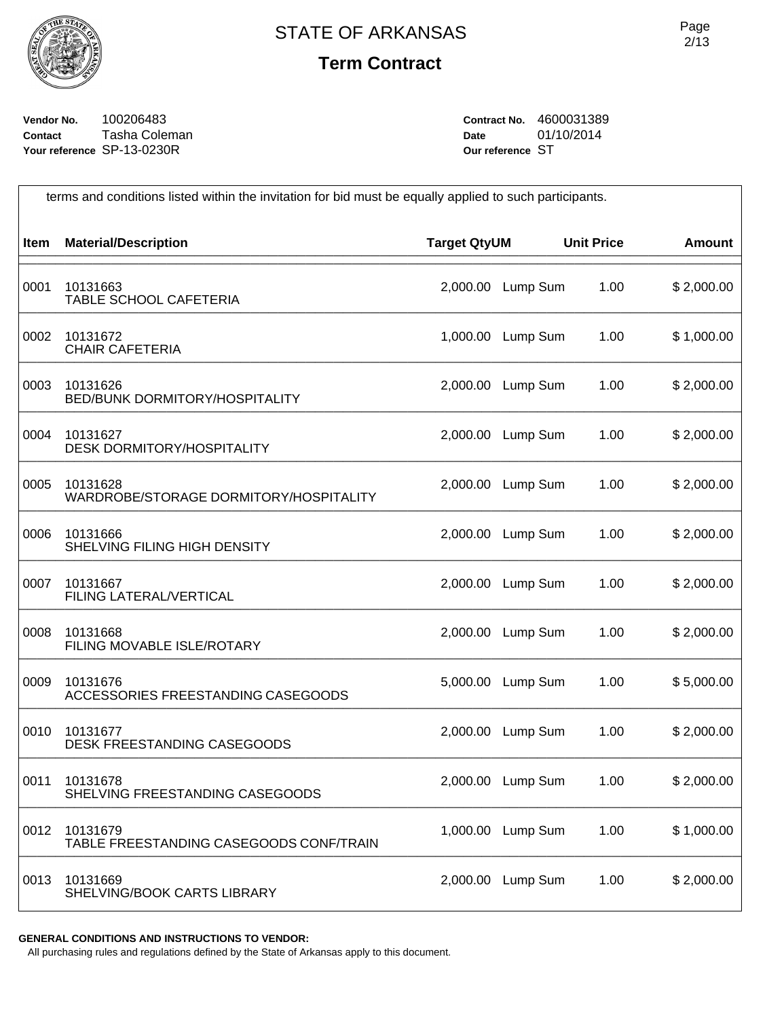

**Vendor No.** 100206483 **Contact** Tasha Coleman **Your reference** SP-13-0230R

**Contract No.** 4600031389 **Date** 01/10/2014 **Our reference** ST

| terms and conditions listed within the invitation for bid must be equally applied to such participants. |                                                     |                     |                   |                   |               |  |
|---------------------------------------------------------------------------------------------------------|-----------------------------------------------------|---------------------|-------------------|-------------------|---------------|--|
| <b>Item</b>                                                                                             | <b>Material/Description</b>                         | <b>Target QtyUM</b> |                   | <b>Unit Price</b> | <b>Amount</b> |  |
| 0001                                                                                                    | 10131663<br>TABLE SCHOOL CAFETERIA                  | 2,000.00            | Lump Sum          | 1.00              | \$2,000.00    |  |
| 0002                                                                                                    | 10131672<br><b>CHAIR CAFETERIA</b>                  | 1,000.00            | Lump Sum          | 1.00              | \$1,000.00    |  |
| 0003                                                                                                    | 10131626<br>BED/BUNK DORMITORY/HOSPITALITY          |                     | 2,000.00 Lump Sum | 1.00              | \$2,000.00    |  |
| 0004                                                                                                    | 10131627<br><b>DESK DORMITORY/HOSPITALITY</b>       | 2,000.00            | Lump Sum          | 1.00              | \$2,000.00    |  |
| 0005                                                                                                    | 10131628<br>WARDROBE/STORAGE DORMITORY/HOSPITALITY  | 2,000.00            | Lump Sum          | 1.00              | \$2,000.00    |  |
| 0006                                                                                                    | 10131666<br>SHELVING FILING HIGH DENSITY            | 2,000.00            | Lump Sum          | 1.00              | \$2,000.00    |  |
| 0007                                                                                                    | 10131667<br>FILING LATERAL/VERTICAL                 | 2,000.00            | Lump Sum          | 1.00              | \$2,000.00    |  |
| 0008                                                                                                    | 10131668<br>FILING MOVABLE ISLE/ROTARY              | 2,000.00            | Lump Sum          | 1.00              | \$2,000.00    |  |
| 0009                                                                                                    | 10131676<br>ACCESSORIES FREESTANDING CASEGOODS      | 5,000.00            | Lump Sum          | 1.00              | \$5,000.00    |  |
| 0010                                                                                                    | 10131677<br><b>DESK FREESTANDING CASEGOODS</b>      | 2,000.00            | Lump Sum          | 1.00              | \$2,000.00    |  |
| 0011                                                                                                    | 10131678<br>SHELVING FREESTANDING CASEGOODS         |                     | 2,000.00 Lump Sum | 1.00              | \$2,000.00    |  |
| 0012                                                                                                    | 10131679<br>TABLE FREESTANDING CASEGOODS CONF/TRAIN | 1,000.00            | Lump Sum          | 1.00              | \$1,000.00    |  |
| 0013                                                                                                    | 10131669<br>SHELVING/BOOK CARTS LIBRARY             | 2,000.00            | Lump Sum          | 1.00              | \$2,000.00    |  |

**GENERAL CONDITIONS AND INSTRUCTIONS TO VENDOR:**

All purchasing rules and regulations defined by the State of Arkansas apply to this document.

 $\overline{\phantom{a}}$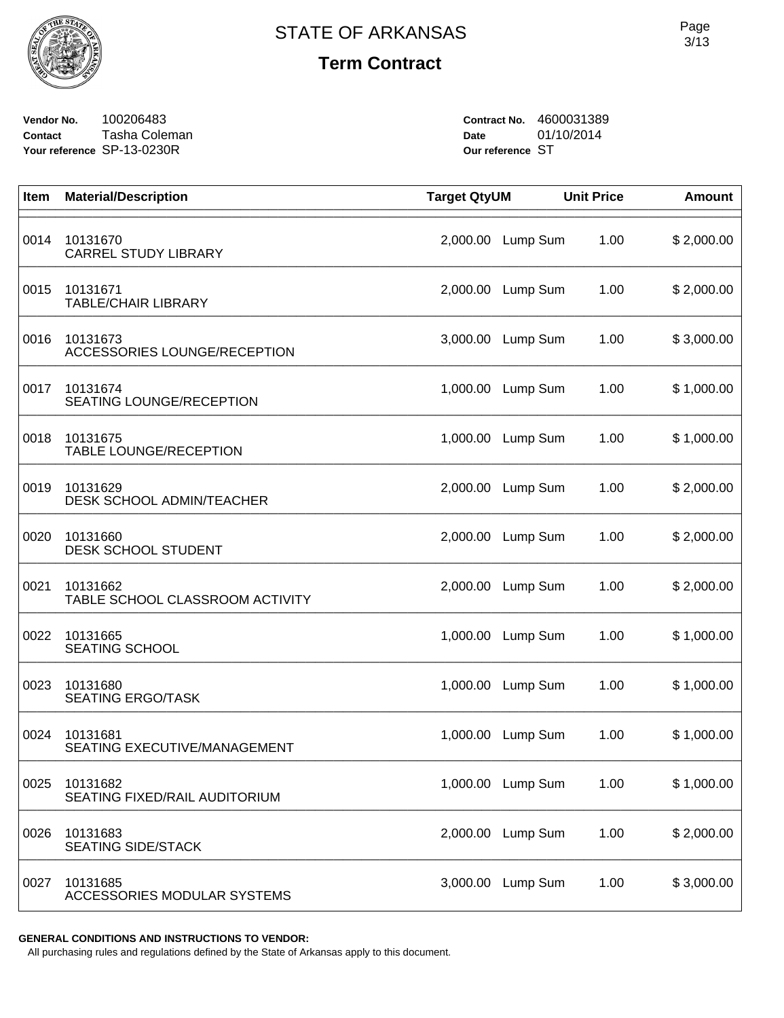

**Vendor No.** 100206483 **Contact** Tasha Coleman **Your reference** SP-13-0230R

**Contract No.** 4600031389 **Date** 01/10/2014 **Our reference** ST

| Item | <b>Material/Description</b>                 | <b>Target QtyUM</b> |                   | <b>Unit Price</b> | <b>Amount</b> |
|------|---------------------------------------------|---------------------|-------------------|-------------------|---------------|
| 0014 | 10131670<br><b>CARREL STUDY LIBRARY</b>     | 2,000.00            | Lump Sum          | 1.00              | \$2,000.00    |
| 0015 | 10131671<br><b>TABLE/CHAIR LIBRARY</b>      | 2,000.00            | Lump Sum          | 1.00              | \$2,000.00    |
| 0016 | 10131673<br>ACCESSORIES LOUNGE/RECEPTION    | 3,000.00            | Lump Sum          | 1.00              | \$3,000.00    |
| 0017 | 10131674<br><b>SEATING LOUNGE/RECEPTION</b> | 1,000.00            | Lump Sum          | 1.00              | \$1,000.00    |
| 0018 | 10131675<br><b>TABLE LOUNGE/RECEPTION</b>   | 1,000.00            | Lump Sum          | 1.00              | \$1,000.00    |
| 0019 | 10131629<br>DESK SCHOOL ADMIN/TEACHER       | 2,000.00            | Lump Sum          | 1.00              | \$2,000.00    |
| 0020 | 10131660<br>DESK SCHOOL STUDENT             | 2,000.00            | Lump Sum          | 1.00              | \$2,000.00    |
| 0021 | 10131662<br>TABLE SCHOOL CLASSROOM ACTIVITY | 2,000.00            | Lump Sum          | 1.00              | \$2,000.00    |
| 0022 | 10131665<br><b>SEATING SCHOOL</b>           | 1,000.00            | Lump Sum          | 1.00              | \$1,000.00    |
| 0023 | 10131680<br><b>SEATING ERGO/TASK</b>        | 1,000.00            | Lump Sum          | 1.00              | \$1,000.00    |
| 0024 | 10131681<br>SEATING EXECUTIVE/MANAGEMENT    | 1,000.00            | Lump Sum          | 1.00              | \$1,000.00    |
| 0025 | 10131682<br>SEATING FIXED/RAIL AUDITORIUM   |                     | 1,000.00 Lump Sum | 1.00              | \$1,000.00    |
| 0026 | 10131683<br><b>SEATING SIDE/STACK</b>       | 2,000.00            | Lump Sum          | 1.00              | \$2,000.00    |
| 0027 | 10131685<br>ACCESSORIES MODULAR SYSTEMS     | 3,000.00            | Lump Sum          | 1.00              | \$3,000.00    |

**GENERAL CONDITIONS AND INSTRUCTIONS TO VENDOR:**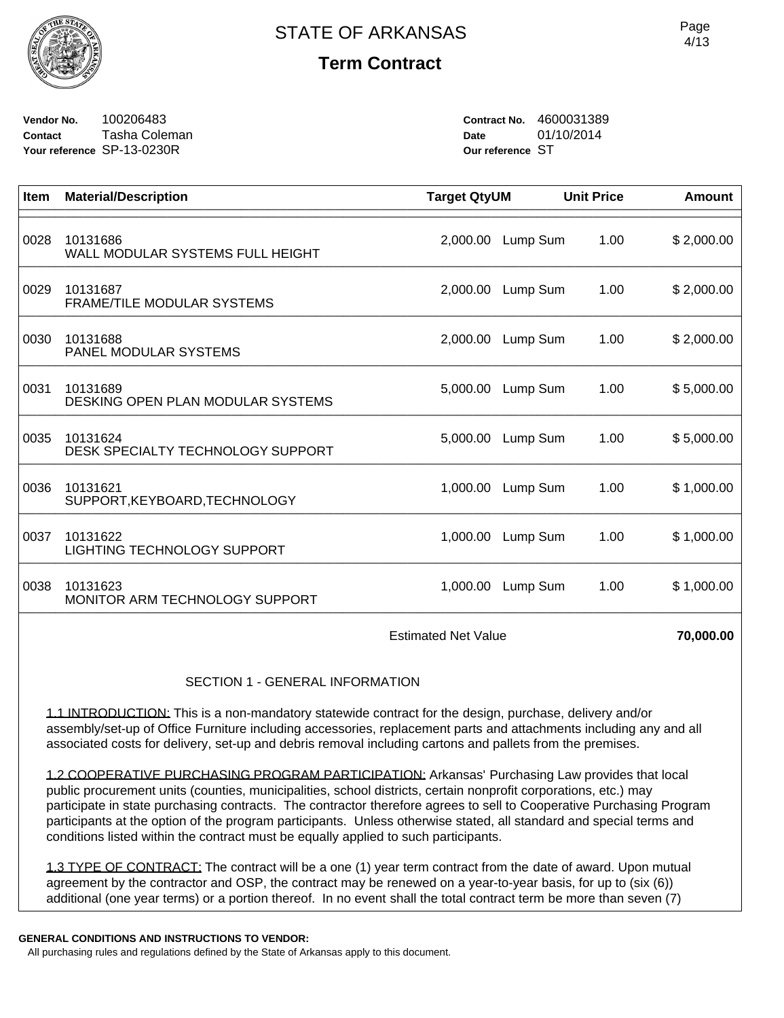

**Vendor No.** 100206483 **Contact** Tasha Coleman **Your reference** SP-13-0230R

**Contract No.** 4600031389 **Date** 01/10/2014 **Our reference** ST

| Item                                                                                                   | <b>Material/Description</b>                    | <b>Target QtyUM</b> |          | <b>Unit Price</b> | <b>Amount</b> |  |
|--------------------------------------------------------------------------------------------------------|------------------------------------------------|---------------------|----------|-------------------|---------------|--|
| 0028                                                                                                   | 10131686<br>WALL MODULAR SYSTEMS FULL HEIGHT   | 2,000.00            | Lump Sum | 1.00              | \$2,000.00    |  |
| 0029                                                                                                   | 10131687<br>FRAME/TILE MODULAR SYSTEMS         | 2,000.00            | Lump Sum | 1.00              | \$2,000.00    |  |
| 0030                                                                                                   | 10131688<br>PANEL MODULAR SYSTEMS              | 2,000.00            | Lump Sum | 1.00              | \$2,000.00    |  |
| 0031                                                                                                   | 10131689<br>DESKING OPEN PLAN MODULAR SYSTEMS  | 5,000.00            | Lump Sum | 1.00              | \$5,000.00    |  |
| 0035                                                                                                   | 10131624<br>DESK SPECIALTY TECHNOLOGY SUPPORT  | 5,000.00            | Lump Sum | 1.00              | \$5,000.00    |  |
| 0036                                                                                                   | 10131621<br>SUPPORT, KEYBOARD, TECHNOLOGY      | 1,000.00            | Lump Sum | 1.00              | \$1,000.00    |  |
| 0037                                                                                                   | 10131622<br><b>LIGHTING TECHNOLOGY SUPPORT</b> | 1,000.00            | Lump Sum | 1.00              | \$1,000.00    |  |
| 0038                                                                                                   | 10131623<br>MONITOR ARM TECHNOLOGY SUPPORT     | 1,000.00            | Lump Sum | 1.00              | \$1,000.00    |  |
| <b>Estimated Net Value</b>                                                                             |                                                |                     |          |                   | 70,000.00     |  |
| <b>SECTION 1 - GENERAL INFORMATION</b>                                                                 |                                                |                     |          |                   |               |  |
| 1.1 INTRODUCTION: This is a non-mandatory statewide contract for the design, purchase, delivery and/or |                                                |                     |          |                   |               |  |

assembly/set-up of Office Furniture including accessories, replacement parts and attachments including any and all associated costs for delivery, set-up and debris removal including cartons and pallets from the premises.

1.2 COOPERATIVE PURCHASING PROGRAM PARTICIPATION: Arkansas' Purchasing Law provides that local public procurement units (counties, municipalities, school districts, certain nonprofit corporations, etc.) may participate in state purchasing contracts. The contractor therefore agrees to sell to Cooperative Purchasing Program participants at the option of the program participants. Unless otherwise stated, all standard and special terms and conditions listed within the contract must be equally applied to such participants.

1.3 TYPE OF CONTRACT: The contract will be a one (1) year term contract from the date of award. Upon mutual agreement by the contractor and OSP, the contract may be renewed on a year-to-year basis, for up to (six (6)) additional (one year terms) or a portion thereof. In no event shall the total contract term be more than seven (7)

#### **GENERAL CONDITIONS AND INSTRUCTIONS TO VENDOR:**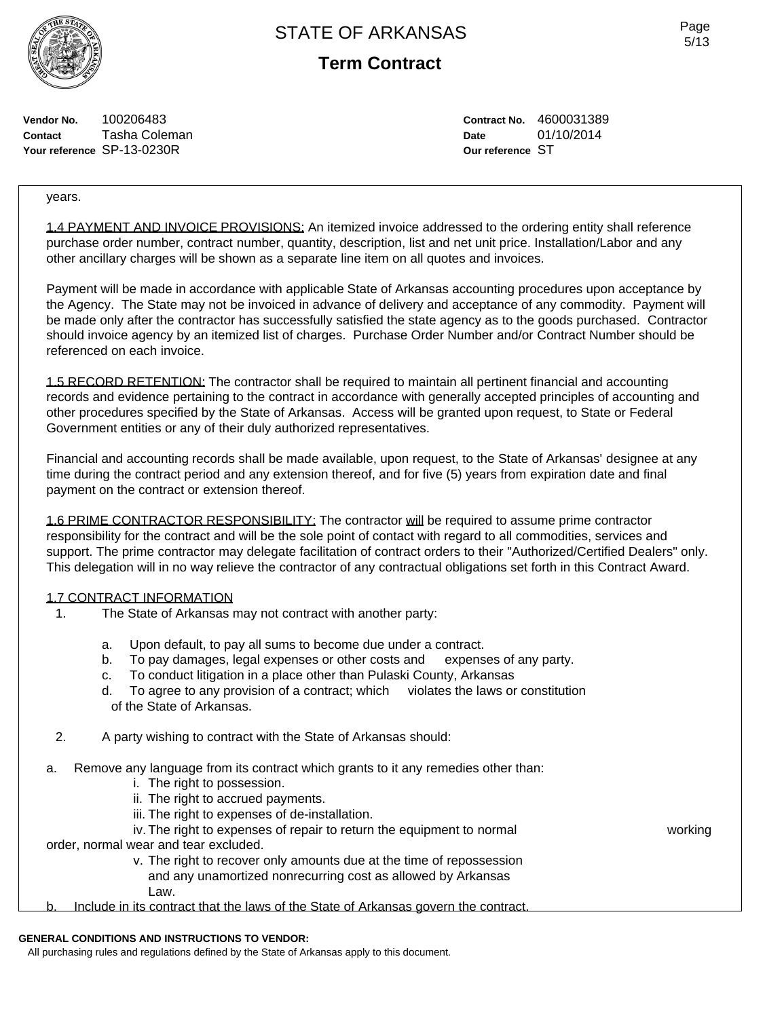

**Term Contract**

Page 5/13

**Vendor No.** 100206483 **Contact** Tasha Coleman **Your reference** SP-13-0230R

**Contract No.** 4600031389 **Date** 01/10/2014 **Our reference** ST

years.

1.4 PAYMENT AND INVOICE PROVISIONS: An itemized invoice addressed to the ordering entity shall reference purchase order number, contract number, quantity, description, list and net unit price. Installation/Labor and any other ancillary charges will be shown as a separate line item on all quotes and invoices.

Payment will be made in accordance with applicable State of Arkansas accounting procedures upon acceptance by the Agency. The State may not be invoiced in advance of delivery and acceptance of any commodity. Payment will be made only after the contractor has successfully satisfied the state agency as to the goods purchased. Contractor should invoice agency by an itemized list of charges. Purchase Order Number and/or Contract Number should be referenced on each invoice.

1.5 RECORD RETENTION: The contractor shall be required to maintain all pertinent financial and accounting records and evidence pertaining to the contract in accordance with generally accepted principles of accounting and other procedures specified by the State of Arkansas. Access will be granted upon request, to State or Federal Government entities or any of their duly authorized representatives.

Financial and accounting records shall be made available, upon request, to the State of Arkansas' designee at any time during the contract period and any extension thereof, and for five (5) years from expiration date and final payment on the contract or extension thereof.

1.6 PRIME CONTRACTOR RESPONSIBILITY: The contractor will be required to assume prime contractor responsibility for the contract and will be the sole point of contact with regard to all commodities, services and support. The prime contractor may delegate facilitation of contract orders to their "Authorized/Certified Dealers" only. This delegation will in no way relieve the contractor of any contractual obligations set forth in this Contract Award.

#### 1.7 CONTRACT INFORMATION

- 1. The State of Arkansas may not contract with another party:
	-
	- a. Upon default, to pay all sums to become due under a contract.<br>b. To pay damages, legal expenses or other costs and expenses of any party. To pay damages, legal expenses or other costs and
	- c. To conduct litigation in a place other than Pulaski County, Arkansas
	- d. To agree to any provision of a contract; which violates the laws or constitution of the State of Arkansas.
- 2. A party wishing to contract with the State of Arkansas should:
- a. Remove any language from its contract which grants to it any remedies other than:
	- i. The right to possession.
	- ii. The right to accrued payments.
	- iii. The right to expenses of de-installation.
	- iv. The right to expenses of repair to return the equipment to normal working

order, normal wear and tear excluded.

 v. The right to recover only amounts due at the time of repossession and any unamortized nonrecurring cost as allowed by Arkansas Law.

b. Include in its contract that the laws of the State of Arkansas govern the contract.

#### **GENERAL CONDITIONS AND INSTRUCTIONS TO VENDOR:**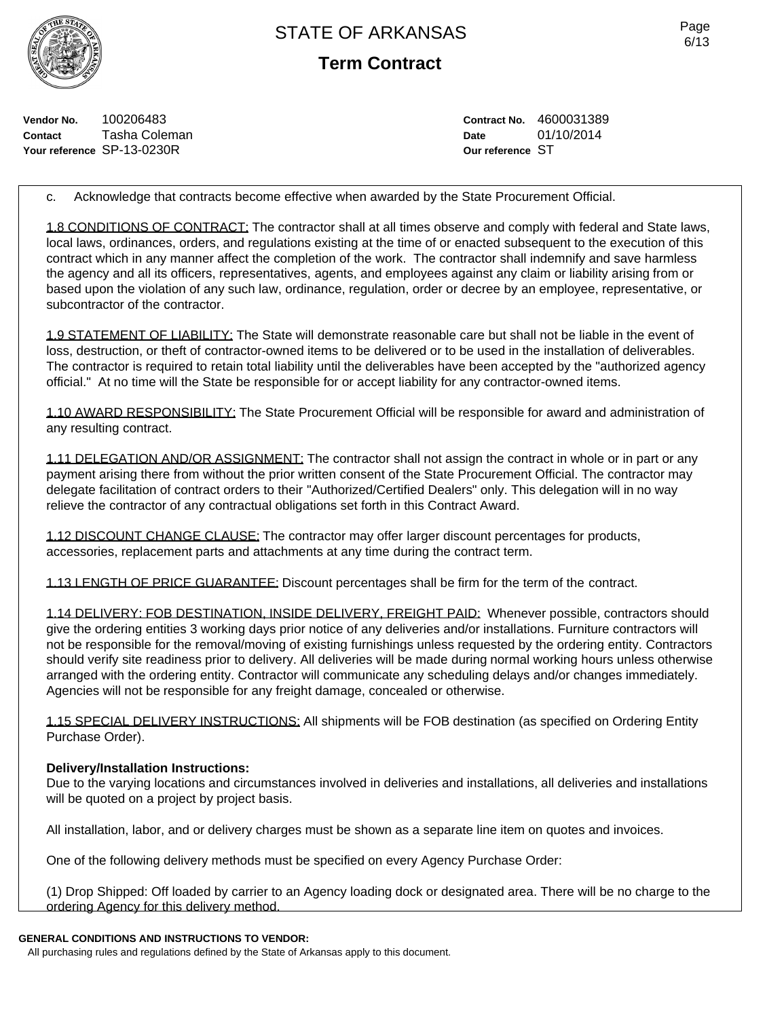**Term Contract**

**Vendor No.** 100206483 **Contact** Tasha Coleman **Your reference** SP-13-0230R

**Contract No.** 4600031389 **Date** 01/10/2014 **Our reference** ST

c. Acknowledge that contracts become effective when awarded by the State Procurement Official.

1.8 CONDITIONS OF CONTRACT: The contractor shall at all times observe and comply with federal and State laws, local laws, ordinances, orders, and regulations existing at the time of or enacted subsequent to the execution of this contract which in any manner affect the completion of the work. The contractor shall indemnify and save harmless the agency and all its officers, representatives, agents, and employees against any claim or liability arising from or based upon the violation of any such law, ordinance, regulation, order or decree by an employee, representative, or subcontractor of the contractor.

1.9 STATEMENT OF LIABILITY: The State will demonstrate reasonable care but shall not be liable in the event of loss, destruction, or theft of contractor-owned items to be delivered or to be used in the installation of deliverables. The contractor is required to retain total liability until the deliverables have been accepted by the "authorized agency official." At no time will the State be responsible for or accept liability for any contractor-owned items.

1.10 AWARD RESPONSIBILITY: The State Procurement Official will be responsible for award and administration of any resulting contract.

1.11 DELEGATION AND/OR ASSIGNMENT: The contractor shall not assign the contract in whole or in part or any payment arising there from without the prior written consent of the State Procurement Official. The contractor may delegate facilitation of contract orders to their "Authorized/Certified Dealers" only. This delegation will in no way relieve the contractor of any contractual obligations set forth in this Contract Award.

1.12 DISCOUNT CHANGE CLAUSE: The contractor may offer larger discount percentages for products, accessories, replacement parts and attachments at any time during the contract term.

1.13 LENGTH OF PRICE GUARANTEE: Discount percentages shall be firm for the term of the contract.

1.14 DELIVERY: FOB DESTINATION, INSIDE DELIVERY, FREIGHT PAID: Whenever possible, contractors should give the ordering entities 3 working days prior notice of any deliveries and/or installations. Furniture contractors will not be responsible for the removal/moving of existing furnishings unless requested by the ordering entity. Contractors should verify site readiness prior to delivery. All deliveries will be made during normal working hours unless otherwise arranged with the ordering entity. Contractor will communicate any scheduling delays and/or changes immediately. Agencies will not be responsible for any freight damage, concealed or otherwise.

1.15 SPECIAL DELIVERY INSTRUCTIONS: All shipments will be FOB destination (as specified on Ordering Entity Purchase Order).

## **Delivery/Installation Instructions:**

Due to the varying locations and circumstances involved in deliveries and installations, all deliveries and installations will be quoted on a project by project basis.

All installation, labor, and or delivery charges must be shown as a separate line item on quotes and invoices.

One of the following delivery methods must be specified on every Agency Purchase Order:

(1) Drop Shipped: Off loaded by carrier to an Agency loading dock or designated area. There will be no charge to the ordering Agency for this delivery method.

#### **GENERAL CONDITIONS AND INSTRUCTIONS TO VENDOR:**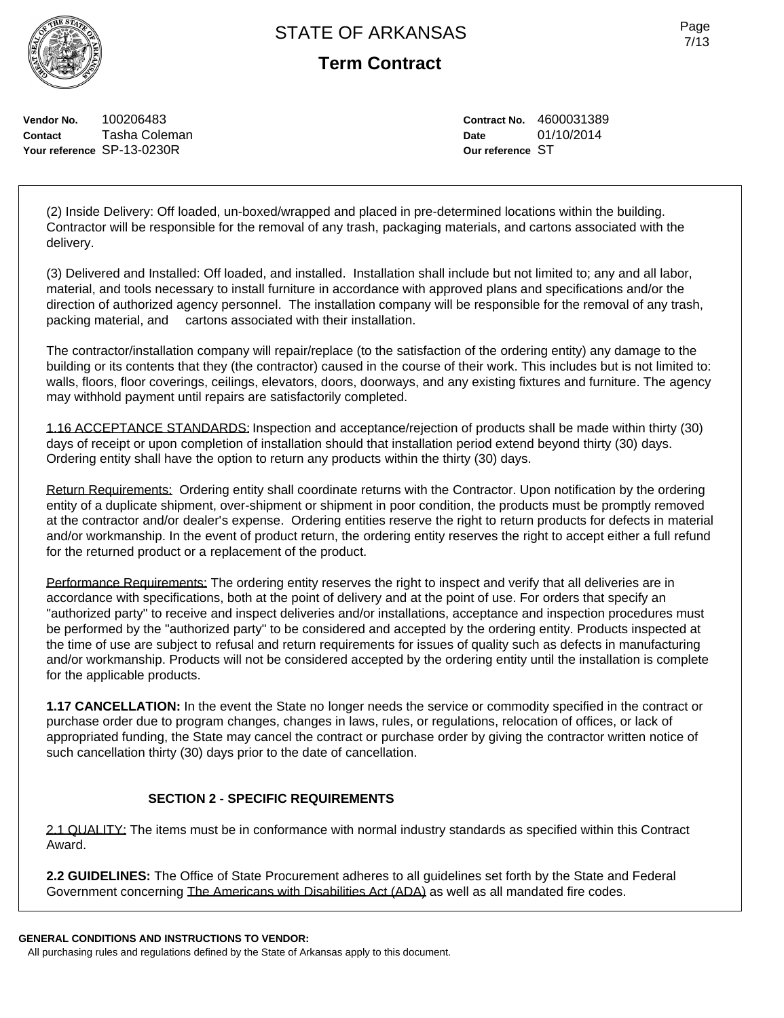**Term Contract**

**Vendor No.** 100206483 **Contact** Tasha Coleman **Your reference** SP-13-0230R

**Contract No.** 4600031389 **Date** 01/10/2014 **Our reference** ST

(2) Inside Delivery: Off loaded, un-boxed/wrapped and placed in pre-determined locations within the building. Contractor will be responsible for the removal of any trash, packaging materials, and cartons associated with the delivery.

(3) Delivered and Installed: Off loaded, and installed. Installation shall include but not limited to; any and all labor, material, and tools necessary to install furniture in accordance with approved plans and specifications and/or the direction of authorized agency personnel. The installation company will be responsible for the removal of any trash, packing material, and cartons associated with their installation.

The contractor/installation company will repair/replace (to the satisfaction of the ordering entity) any damage to the building or its contents that they (the contractor) caused in the course of their work. This includes but is not limited to: walls, floors, floor coverings, ceilings, elevators, doors, doorways, and any existing fixtures and furniture. The agency may withhold payment until repairs are satisfactorily completed.

1.16 ACCEPTANCE STANDARDS: Inspection and acceptance/rejection of products shall be made within thirty (30) days of receipt or upon completion of installation should that installation period extend beyond thirty (30) days. Ordering entity shall have the option to return any products within the thirty (30) days.

Return Requirements: Ordering entity shall coordinate returns with the Contractor. Upon notification by the ordering entity of a duplicate shipment, over-shipment or shipment in poor condition, the products must be promptly removed at the contractor and/or dealer's expense. Ordering entities reserve the right to return products for defects in material and/or workmanship. In the event of product return, the ordering entity reserves the right to accept either a full refund for the returned product or a replacement of the product.

Performance Requirements: The ordering entity reserves the right to inspect and verify that all deliveries are in accordance with specifications, both at the point of delivery and at the point of use. For orders that specify an "authorized party" to receive and inspect deliveries and/or installations, acceptance and inspection procedures must be performed by the "authorized party" to be considered and accepted by the ordering entity. Products inspected at the time of use are subject to refusal and return requirements for issues of quality such as defects in manufacturing and/or workmanship. Products will not be considered accepted by the ordering entity until the installation is complete for the applicable products.

**1.17 CANCELLATION:** In the event the State no longer needs the service or commodity specified in the contract or purchase order due to program changes, changes in laws, rules, or regulations, relocation of offices, or lack of appropriated funding, the State may cancel the contract or purchase order by giving the contractor written notice of such cancellation thirty (30) days prior to the date of cancellation.

## **SECTION 2 - SPECIFIC REQUIREMENTS**

2.1 QUALITY: The items must be in conformance with normal industry standards as specified within this Contract Award.

**2.2 GUIDELINES:** The Office of State Procurement adheres to all guidelines set forth by the State and Federal Government concerning The Americans with Disabilities Act (ADA) as well as all mandated fire codes.

**GENERAL CONDITIONS AND INSTRUCTIONS TO VENDOR:**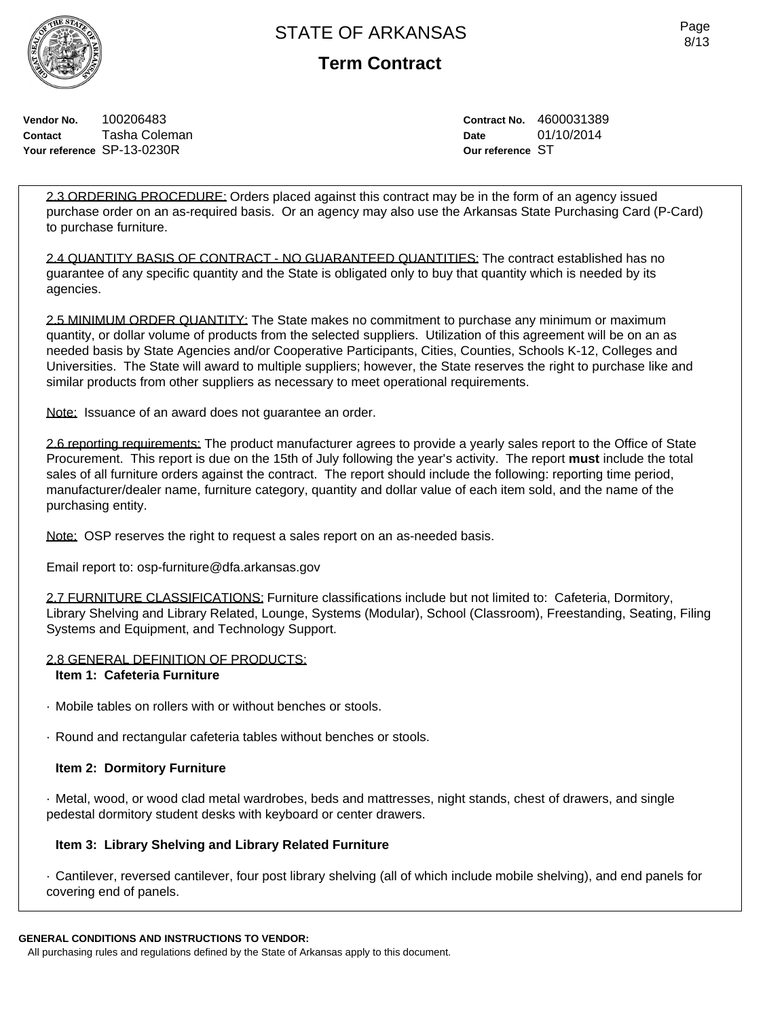

**Term Contract**

**Vendor No.** 100206483 **Contact** Tasha Coleman **Your reference** SP-13-0230R

**Contract No.** 4600031389 **Date** 01/10/2014 **Our reference** ST

2.3 ORDERING PROCEDURE: Orders placed against this contract may be in the form of an agency issued purchase order on an as-required basis. Or an agency may also use the Arkansas State Purchasing Card (P-Card) to purchase furniture.

2.4 QUANTITY BASIS OF CONTRACT - NO GUARANTEED QUANTITIES: The contract established has no guarantee of any specific quantity and the State is obligated only to buy that quantity which is needed by its agencies.

2.5 MINIMUM ORDER QUANTITY: The State makes no commitment to purchase any minimum or maximum quantity, or dollar volume of products from the selected suppliers. Utilization of this agreement will be on an as needed basis by State Agencies and/or Cooperative Participants, Cities, Counties, Schools K-12, Colleges and Universities. The State will award to multiple suppliers; however, the State reserves the right to purchase like and similar products from other suppliers as necessary to meet operational requirements.

Note: Issuance of an award does not guarantee an order.

2.6 reporting requirements: The product manufacturer agrees to provide a yearly sales report to the Office of State Procurement. This report is due on the 15th of July following the year's activity. The report **must** include the total sales of all furniture orders against the contract. The report should include the following: reporting time period, manufacturer/dealer name, furniture category, quantity and dollar value of each item sold, and the name of the purchasing entity.

Note: OSP reserves the right to request a sales report on an as-needed basis.

Email report to: osp-furniture@dfa.arkansas.gov

2.7 FURNITURE CLASSIFICATIONS: Furniture classifications include but not limited to: Cafeteria, Dormitory, Library Shelving and Library Related, Lounge, Systems (Modular), School (Classroom), Freestanding, Seating, Filing Systems and Equipment, and Technology Support.

#### 2.8 GENERAL DEFINITION OF PRODUCTS:

#### **Item 1: Cafeteria Furniture**

- · Mobile tables on rollers with or without benches or stools.
- · Round and rectangular cafeteria tables without benches or stools.

## **Item 2: Dormitory Furniture**

· Metal, wood, or wood clad metal wardrobes, beds and mattresses, night stands, chest of drawers, and single pedestal dormitory student desks with keyboard or center drawers.

## **Item 3: Library Shelving and Library Related Furniture**

· Cantilever, reversed cantilever, four post library shelving (all of which include mobile shelving), and end panels for covering end of panels.

## **GENERAL CONDITIONS AND INSTRUCTIONS TO VENDOR:**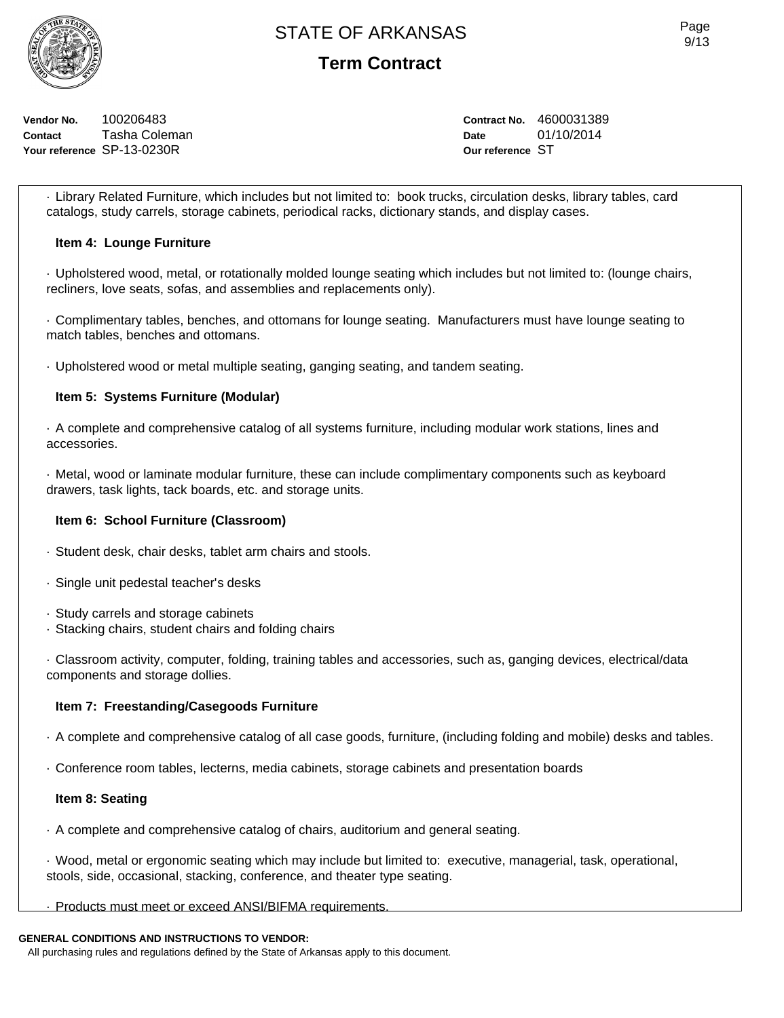

**Vendor No.** 100206483 **Contact** Tasha Coleman **Your reference** SP-13-0230R

**Contract No.** 4600031389 **Date** 01/10/2014 **Our reference** ST

· Library Related Furniture, which includes but not limited to: book trucks, circulation desks, library tables, card catalogs, study carrels, storage cabinets, periodical racks, dictionary stands, and display cases.

#### **Item 4: Lounge Furniture**

· Upholstered wood, metal, or rotationally molded lounge seating which includes but not limited to: (lounge chairs, recliners, love seats, sofas, and assemblies and replacements only).

· Complimentary tables, benches, and ottomans for lounge seating. Manufacturers must have lounge seating to match tables, benches and ottomans.

· Upholstered wood or metal multiple seating, ganging seating, and tandem seating.

## **Item 5: Systems Furniture (Modular)**

· A complete and comprehensive catalog of all systems furniture, including modular work stations, lines and accessories.

· Metal, wood or laminate modular furniture, these can include complimentary components such as keyboard drawers, task lights, tack boards, etc. and storage units.

#### **Item 6: School Furniture (Classroom)**

- · Student desk, chair desks, tablet arm chairs and stools.
- · Single unit pedestal teacher's desks
- · Study carrels and storage cabinets
- · Stacking chairs, student chairs and folding chairs

· Classroom activity, computer, folding, training tables and accessories, such as, ganging devices, electrical/data components and storage dollies.

#### **Item 7: Freestanding/Casegoods Furniture**

- · A complete and comprehensive catalog of all case goods, furniture, (including folding and mobile) desks and tables.
- · Conference room tables, lecterns, media cabinets, storage cabinets and presentation boards

#### **Item 8: Seating**

· A complete and comprehensive catalog of chairs, auditorium and general seating.

· Wood, metal or ergonomic seating which may include but limited to: executive, managerial, task, operational, stools, side, occasional, stacking, conference, and theater type seating.

#### · Products must meet or exceed ANSI/BIFMA requirements.

#### **GENERAL CONDITIONS AND INSTRUCTIONS TO VENDOR:**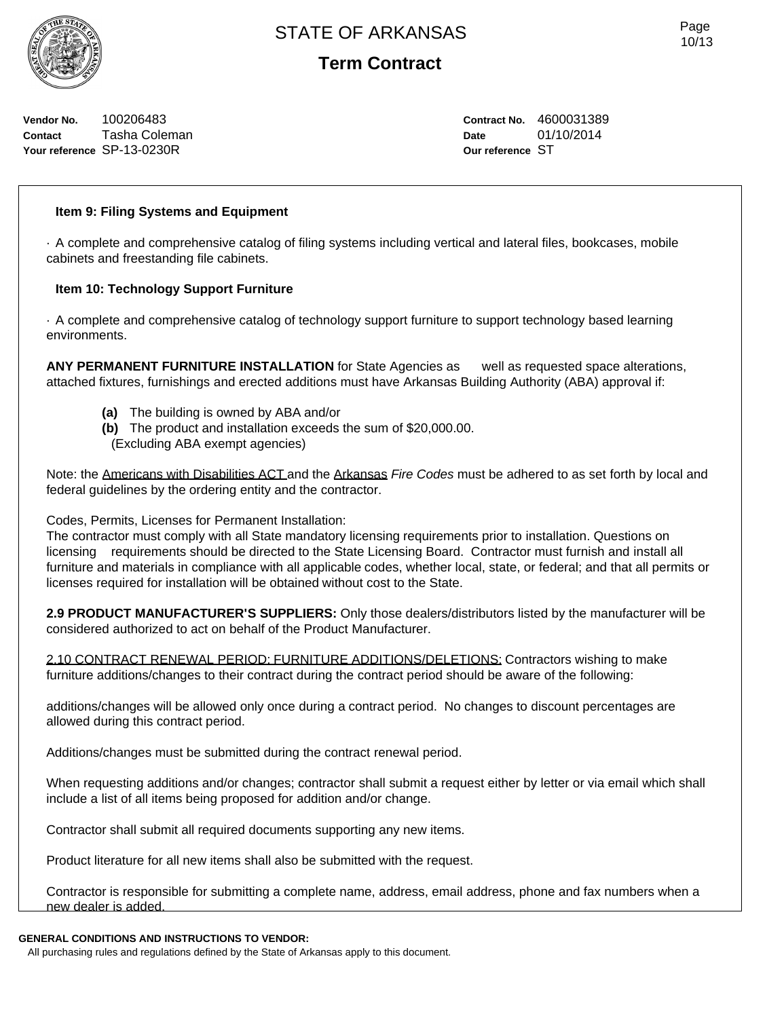**Vendor No.** 100206483 **Contact** Tasha Coleman **Your reference** SP-13-0230R

**Contract No.** 4600031389 **Date** 01/10/2014 **Our reference** ST

## **Item 9: Filing Systems and Equipment**

· A complete and comprehensive catalog of filing systems including vertical and lateral files, bookcases, mobile cabinets and freestanding file cabinets.

## **Item 10: Technology Support Furniture**

· A complete and comprehensive catalog of technology support furniture to support technology based learning environments.

**ANY PERMANENT FURNITURE INSTALLATION** for State Agencies as well as requested space alterations, attached fixtures, furnishings and erected additions must have Arkansas Building Authority (ABA) approval if:

- **(a)** The building is owned by ABA and/or
- **(b)** The product and installation exceeds the sum of \$20,000.00.
- (Excluding ABA exempt agencies)

Note: the Americans with Disabilities ACT and the Arkansas *Fire Codes* must be adhered to as set forth by local and federal guidelines by the ordering entity and the contractor.

Codes, Permits, Licenses for Permanent Installation:

The contractor must comply with all State mandatory licensing requirements prior to installation. Questions on licensing requirements should be directed to the State Licensing Board. Contractor must furnish and install all furniture and materials in compliance with all applicable codes, whether local, state, or federal; and that all permits or licenses required for installation will be obtained without cost to the State.

**2.9 PRODUCT MANUFACTURER'S SUPPLIERS:** Only those dealers/distributors listed by the manufacturer will be considered authorized to act on behalf of the Product Manufacturer.

2.10 CONTRACT RENEWAL PERIOD: FURNITURE ADDITIONS/DELETIONS: Contractors wishing to make furniture additions/changes to their contract during the contract period should be aware of the following:

additions/changes will be allowed only once during a contract period. No changes to discount percentages are allowed during this contract period.

Additions/changes must be submitted during the contract renewal period.

When requesting additions and/or changes; contractor shall submit a request either by letter or via email which shall include a list of all items being proposed for addition and/or change.

Contractor shall submit all required documents supporting any new items.

Product literature for all new items shall also be submitted with the request.

Contractor is responsible for submitting a complete name, address, email address, phone and fax numbers when a new dealer is added.

#### **GENERAL CONDITIONS AND INSTRUCTIONS TO VENDOR:**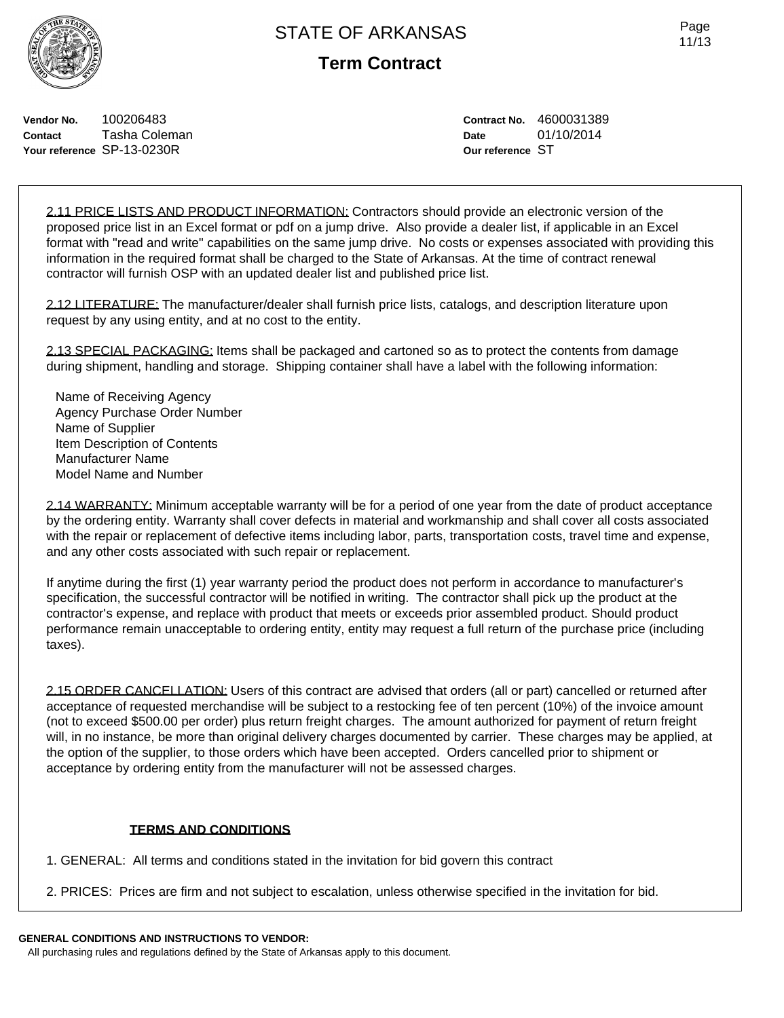**Vendor No.** 100206483 **Contact** Tasha Coleman **Your reference** SP-13-0230R

# **Term Contract**

**Contract No.** 4600031389 **Date** 01/10/2014 **Our reference** ST

2.11 PRICE LISTS AND PRODUCT INFORMATION: Contractors should provide an electronic version of the proposed price list in an Excel format or pdf on a jump drive. Also provide a dealer list, if applicable in an Excel format with "read and write" capabilities on the same jump drive. No costs or expenses associated with providing this information in the required format shall be charged to the State of Arkansas. At the time of contract renewal contractor will furnish OSP with an updated dealer list and published price list.

2.12 LITERATURE: The manufacturer/dealer shall furnish price lists, catalogs, and description literature upon request by any using entity, and at no cost to the entity.

2.13 SPECIAL PACKAGING: Items shall be packaged and cartoned so as to protect the contents from damage during shipment, handling and storage. Shipping container shall have a label with the following information:

Name of Receiving Agency Agency Purchase Order Number Name of Supplier Item Description of Contents Manufacturer Name Model Name and Number

2.14 WARRANTY: Minimum acceptable warranty will be for a period of one year from the date of product acceptance by the ordering entity. Warranty shall cover defects in material and workmanship and shall cover all costs associated with the repair or replacement of defective items including labor, parts, transportation costs, travel time and expense, and any other costs associated with such repair or replacement.

If anytime during the first (1) year warranty period the product does not perform in accordance to manufacturer's specification, the successful contractor will be notified in writing. The contractor shall pick up the product at the contractor's expense, and replace with product that meets or exceeds prior assembled product. Should product performance remain unacceptable to ordering entity, entity may request a full return of the purchase price (including taxes).

2.15 ORDER CANCELLATION: Users of this contract are advised that orders (all or part) cancelled or returned after acceptance of requested merchandise will be subject to a restocking fee of ten percent (10%) of the invoice amount (not to exceed \$500.00 per order) plus return freight charges. The amount authorized for payment of return freight will, in no instance, be more than original delivery charges documented by carrier. These charges may be applied, at the option of the supplier, to those orders which have been accepted. Orders cancelled prior to shipment or acceptance by ordering entity from the manufacturer will not be assessed charges.

## **TERMS AND CONDITIONS**

1. GENERAL: All terms and conditions stated in the invitation for bid govern this contract

2. PRICES: Prices are firm and not subject to escalation, unless otherwise specified in the invitation for bid.

## **GENERAL CONDITIONS AND INSTRUCTIONS TO VENDOR:**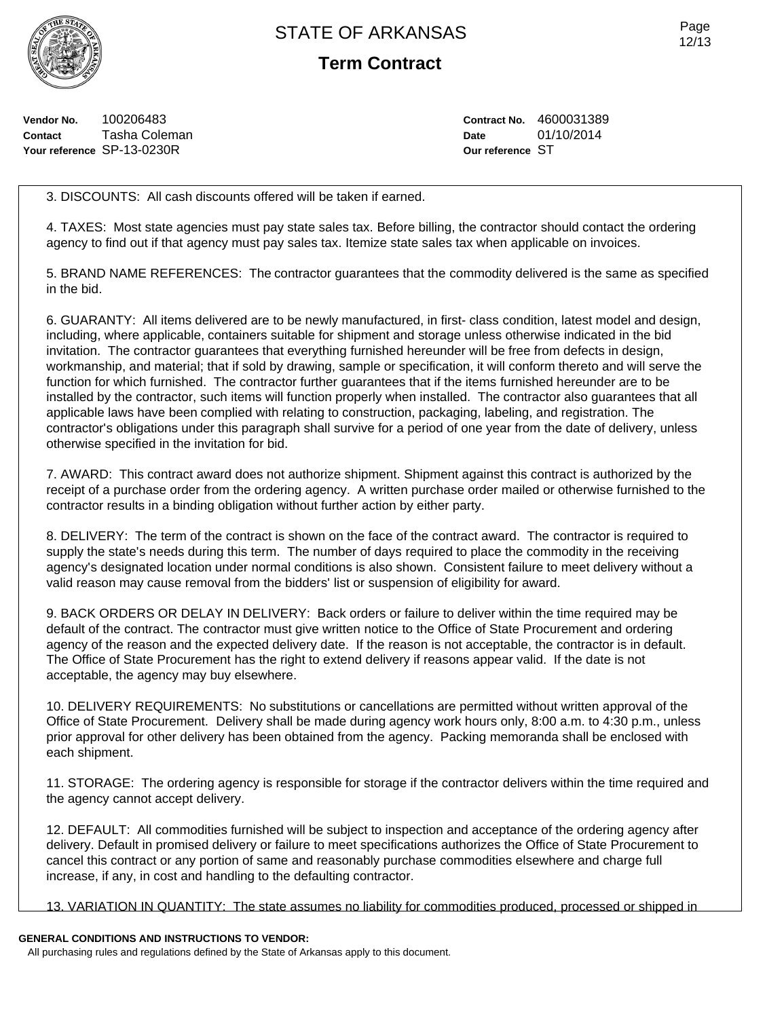**Term Contract**

**Vendor No.** 100206483 **Contact** Tasha Coleman **Your reference** SP-13-0230R

**Contract No.** 4600031389 **Date** 01/10/2014 **Our reference** ST

3. DISCOUNTS: All cash discounts offered will be taken if earned.

4. TAXES: Most state agencies must pay state sales tax. Before billing, the contractor should contact the ordering agency to find out if that agency must pay sales tax. Itemize state sales tax when applicable on invoices.

5. BRAND NAME REFERENCES: The contractor guarantees that the commodity delivered is the same as specified in the bid.

6. GUARANTY: All items delivered are to be newly manufactured, in first- class condition, latest model and design, including, where applicable, containers suitable for shipment and storage unless otherwise indicated in the bid invitation. The contractor guarantees that everything furnished hereunder will be free from defects in design, workmanship, and material; that if sold by drawing, sample or specification, it will conform thereto and will serve the function for which furnished. The contractor further guarantees that if the items furnished hereunder are to be installed by the contractor, such items will function properly when installed. The contractor also guarantees that all applicable laws have been complied with relating to construction, packaging, labeling, and registration. The contractor's obligations under this paragraph shall survive for a period of one year from the date of delivery, unless otherwise specified in the invitation for bid.

7. AWARD: This contract award does not authorize shipment. Shipment against this contract is authorized by the receipt of a purchase order from the ordering agency. A written purchase order mailed or otherwise furnished to the contractor results in a binding obligation without further action by either party.

8. DELIVERY: The term of the contract is shown on the face of the contract award. The contractor is required to supply the state's needs during this term. The number of days required to place the commodity in the receiving agency's designated location under normal conditions is also shown. Consistent failure to meet delivery without a valid reason may cause removal from the bidders' list or suspension of eligibility for award.

9. BACK ORDERS OR DELAY IN DELIVERY: Back orders or failure to deliver within the time required may be default of the contract. The contractor must give written notice to the Office of State Procurement and ordering agency of the reason and the expected delivery date. If the reason is not acceptable, the contractor is in default. The Office of State Procurement has the right to extend delivery if reasons appear valid. If the date is not acceptable, the agency may buy elsewhere.

10. DELIVERY REQUIREMENTS: No substitutions or cancellations are permitted without written approval of the Office of State Procurement. Delivery shall be made during agency work hours only, 8:00 a.m. to 4:30 p.m., unless prior approval for other delivery has been obtained from the agency. Packing memoranda shall be enclosed with each shipment.

11. STORAGE: The ordering agency is responsible for storage if the contractor delivers within the time required and the agency cannot accept delivery.

12. DEFAULT: All commodities furnished will be subject to inspection and acceptance of the ordering agency after delivery. Default in promised delivery or failure to meet specifications authorizes the Office of State Procurement to cancel this contract or any portion of same and reasonably purchase commodities elsewhere and charge full increase, if any, in cost and handling to the defaulting contractor.

13. VARIATION IN QUANTITY: The state assumes no liability for commodities produced, processed or shipped in

## **GENERAL CONDITIONS AND INSTRUCTIONS TO VENDOR:**